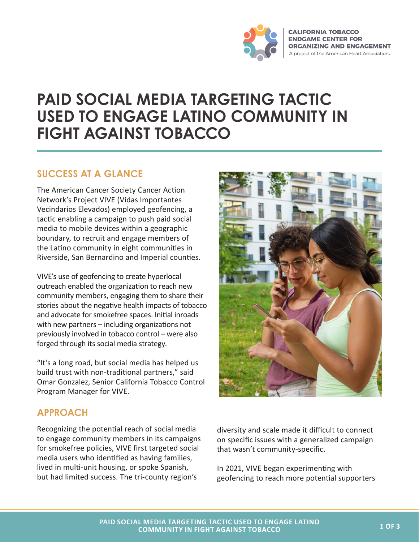

# **PAID SOCIAL MEDIA TARGETING TACTIC USED TO ENGAGE LATINO COMMUNITY IN FIGHT AGAINST TOBACCO**

#### **SUCCESS AT A GLANCE**

The American Cancer Society Cancer Action Network's Project VIVE (Vidas Importantes Vecindarios Elevados) employed geofencing, a tactic enabling a campaign to push paid social media to mobile devices within a geographic boundary, to recruit and engage members of the Latino community in eight communities in Riverside, San Bernardino and Imperial counties.

VIVE's use of geofencing to create hyperlocal outreach enabled the organization to reach new community members, engaging them to share their stories about the negative health impacts of tobacco and advocate for smokefree spaces. Initial inroads with new partners – including organizations not previously involved in tobacco control – were also forged through its social media strategy.

"It's a long road, but social media has helped us build trust with non-traditional partners," said Omar Gonzalez, Senior California Tobacco Control Program Manager for VIVE.

## **APPROACH**

Recognizing the potential reach of social media to engage community members in its campaigns for smokefree policies, VIVE first targeted social media users who identified as having families, lived in multi-unit housing, or spoke Spanish, but had limited success. The tri-county region's



diversity and scale made it difficult to connect on specific issues with a generalized campaign that wasn't community-specific.

In 2021, VIVE began experimenting with geofencing to reach more potential supporters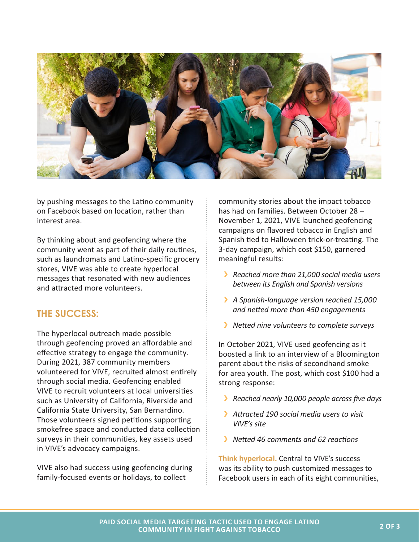

by pushing messages to the Latino community on Facebook based on location, rather than interest area.

By thinking about and geofencing where the community went as part of their daily routines, such as laundromats and Latino-specific grocery stores, VIVE was able to create hyperlocal messages that resonated with new audiences and attracted more volunteers.

## **THE SUCCESS:**

The hyperlocal outreach made possible through geofencing proved an affordable and effective strategy to engage the community. During 2021, 387 community members volunteered for VIVE, recruited almost entirely through social media. Geofencing enabled VIVE to recruit volunteers at local universities such as University of California, Riverside and California State University, San Bernardino. Those volunteers signed petitions supporting smokefree space and conducted data collection surveys in their communities, key assets used in VIVE's advocacy campaigns.

VIVE also had success using geofencing during family-focused events or holidays, to collect

community stories about the impact tobacco has had on families. Between October 28 – November 1, 2021, VIVE launched geofencing campaigns on flavored tobacco in English and Spanish tied to Halloween trick-or-treating. The 3-day campaign, which cost \$150, garnered meaningful results:

- Á *Reached more than 21,000 social media users between its English and Spanish versions*
- **A** Spanish-language version reached 15,000 *and netted more than 450 engagements*
- **K** Netted nine volunteers to complete surveys

In October 2021, VIVE used geofencing as it boosted a link to an interview of a Bloomington parent about the risks of secondhand smoke for area youth. The post, which cost \$100 had a strong response:

- **K** Reached nearly 10,000 people across five days
- Á *Attracted 190 social media users to visit VIVE's site*
- Á *Netted 46 comments and 62 reactions*

**Think hyperlocal.** Central to VIVE's success was its ability to push customized messages to Facebook users in each of its eight communities,